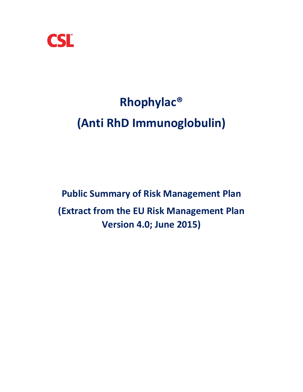

# **Rhophylac® (Anti RhD Immunoglobulin)**

# **Public Summary of Risk Management Plan (Extract from the EU Risk Management Plan Version 4.0; June 2015)**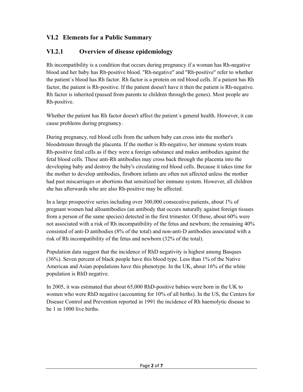# **VI.2 Elements for a Public Summary**

# **VI.2.1 Overview of disease epidemiology**

Rh incompatibility is a condition that occurs during pregnancy if a woman has Rh-negative blood and her baby has Rh-positive blood. "Rh-negative" and "Rh-positive" refer to whether the patient´s blood has Rh factor. Rh factor is a protein on red blood cells. If a patient has Rh factor, the patient is Rh-positive. If the patient doesn't have it then the patient is Rh-negative. Rh factor is inherited (passed from parents to children through the genes). Most people are Rh-positive.

Whether the patient has Rh factor doesn't affect the patient´s general health. However, it can cause problems during pregnancy.

During pregnancy, red blood cells from the unborn baby can cross into the mother's bloodstream through the placenta. If the mother is Rh-negative, her immune system treats Rh-positive fetal cells as if they were a foreign substance and makes antibodies against the fetal blood cells. These anti-Rh antibodies may cross back through the placenta into the developing baby and destroy the baby's circulating red blood cells. Because it takes time for the mother to develop antibodies, firstborn infants are often not affected unless the mother had past miscarriages or abortions that sensitized her immune system. However, all children she has afterwards who are also Rh-positive may be affected.

In a large prospective series including over 300,000 consecutive patients, about 1% of pregnant women had alloantibodies (an antibody that occurs naturally against foreign tissues from a person of the same species) detected in the first trimester. Of these, about 60% were not associated with a risk of Rh incompatibility of the fetus and newborn; the remaining 40% consisted of anti-D antibodies (8% of the total) and non-anti-D antibodies associated with a risk of Rh incompatibility of the fetus and newborn (32% of the total).

Population data suggest that the incidence of RhD negativity is highest among Basques (36%). Seven percent of black people have this blood type. Less than 1% of the Native American and Asian populations have this phenotype. In the UK, about 16% of the white population is RhD negative.

In 2005, it was estimated that about 65,000 RhD-positive babies were born in the UK to women who were RhD negative (accounting for 10% of all births). In the US, the Centers for Disease Control and Prevention reported in 1991 the incidence of Rh haemolytic disease to be 1 in 1000 live births.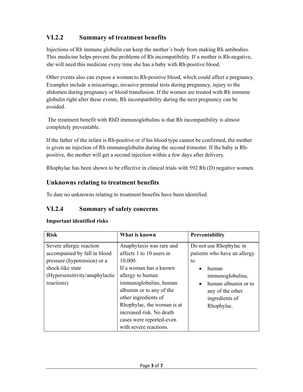# **VI.2.2 Summary of treatment benefits**

Injections of Rh immune globulin can keep the mother´s body from making Rh antibodies. This medicine helps prevent the problems of Rh incompatibility. If a mother is Rh-negative, she will need this medicine every time she has a baby with Rh-positive blood.

Other events also can expose a woman to Rh-positive blood, which could affect a pregnancy. Examples include a miscarriage, invasive prenatal tests during pregnancy, injury to the abdomen during pregnancy or blood transfusion. If the women are treated with Rh immune globulin right after these events, Rh incompatibility during the next pregnancy can be avoided.

 The treatment benefit with RhD immunoglobulins is that Rh incompatibility is almost completely preventable.

If the father of the infant is Rh-positive or if his blood type cannot be confirmed, the mother is given an injection of Rh immunoglobulin during the second trimester. If the baby is Rhpositive, the mother will get a second injection within a few days after delivery.

Rhophylac has been shown to be effective in clinical trials with 592 Rh (D) negative women.

#### **Unknowns relating to treatment benefits**

To date no unknowns relating to treatment benefits have been identified.

#### **VI.2.4 Summary of safety concerns**

#### **Important identified risks**

| <b>Risk</b>                    | What is known              | Preventability                   |  |
|--------------------------------|----------------------------|----------------------------------|--|
| Severe allergic reaction       | Anaphylaxis was rare and   | Do not use Rhophylac in          |  |
| accompanied by fall in blood   | affects 1 to 10 users in   | patients who have an allergy     |  |
| pressure (hypotension) or a    | 10,000.                    | to                               |  |
| shock-like state               | If a woman has a known     | human                            |  |
| (Hypersensitivity/anaphylactic | allergy to human           | immunoglobulins,                 |  |
| reactions)                     | immunoglobulins, human     | human albumin or to<br>$\bullet$ |  |
|                                | albumin or to any of the   | any of the other                 |  |
|                                | other ingredients of       | ingredients of                   |  |
|                                | Rhophylac, the woman is at | Rhophylac.                       |  |
|                                | increased risk. No death   |                                  |  |
|                                | cases were reported-even   |                                  |  |
|                                | with severe reactions.     |                                  |  |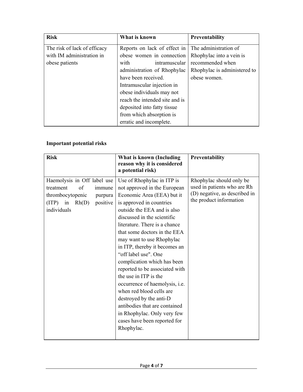| <b>Risk</b>                  | What is known                  | Preventability               |
|------------------------------|--------------------------------|------------------------------|
| The risk of lack of efficacy | Reports on lack of effect in   | The administration of        |
| with IM administration in    | obese women in connection      | Rhophylac into a vein is     |
| obese patients               | with<br>intramuscular          | recommended when             |
|                              | administration of Rhophylac    | Rhophylac is administered to |
|                              | have been received.            | obese women.                 |
|                              | Intramuscular injection in     |                              |
|                              | obese individuals may not      |                              |
|                              | reach the intended site and is |                              |
|                              | deposited into fatty tissue    |                              |
|                              | from which absorption is       |                              |
|                              | erratic and incomplete.        |                              |

#### **Important potential risks**

| <b>Risk</b>                                                                                                                               | What is known (Including<br>reason why it is considered<br>a potential risk)                                                                                                                                                                                                                                                                                                                                                                                                                                                                                                                                                               | Preventability                                                                                                      |
|-------------------------------------------------------------------------------------------------------------------------------------------|--------------------------------------------------------------------------------------------------------------------------------------------------------------------------------------------------------------------------------------------------------------------------------------------------------------------------------------------------------------------------------------------------------------------------------------------------------------------------------------------------------------------------------------------------------------------------------------------------------------------------------------------|---------------------------------------------------------------------------------------------------------------------|
| Haemolysis in Off label use<br>of<br>treatment<br>immune<br>thrombocytopenic<br>purpura<br>$(ITP)$ in<br>positive<br>Rh(D)<br>individuals | Use of Rhophylac in ITP is<br>not approved in the European<br>Economic Area (EEA) but it<br>is approved in countries<br>outside the EEA and is also<br>discussed in the scientific<br>literature. There is a chance<br>that some doctors in the EEA<br>may want to use Rhophylac<br>in ITP, thereby it becomes an<br>"off label use". One<br>complication which has been<br>reported to be associated with<br>the use in ITP is the<br>occurrence of haemolysis, i.e.<br>when red blood cells are<br>destroyed by the anti-D<br>antibodies that are contained<br>in Rhophylac. Only very few<br>cases have been reported for<br>Rhophylac. | Rhophylac should only be<br>used in patients who are Rh<br>(D) negative, as described in<br>the product information |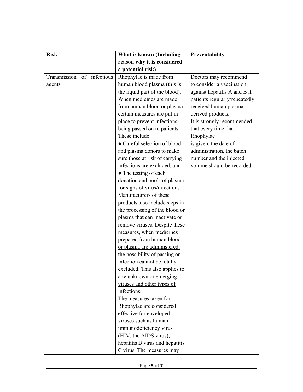| <b>Risk</b>                | What is known (Including        | Preventability                |
|----------------------------|---------------------------------|-------------------------------|
|                            | reason why it is considered     |                               |
|                            | a potential risk)               |                               |
| Transmission of infectious | Rhophylac is made from          | Doctors may recommend         |
| agents                     | human blood plasma (this is     | to consider a vaccination     |
|                            | the liquid part of the blood).  | against hepatitis A and B if  |
|                            | When medicines are made         | patients regularly/repeatedly |
|                            | from human blood or plasma,     | received human plasma         |
|                            | certain measures are put in     | derived products.             |
|                            | place to prevent infections     | It is strongly recommended    |
|                            | being passed on to patients.    | that every time that          |
|                            | These include:                  | Rhophylac                     |
|                            | • Careful selection of blood    | is given, the date of         |
|                            | and plasma donors to make       | administration, the batch     |
|                            | sure those at risk of carrying  | number and the injected       |
|                            | infections are excluded, and    | volume should be recorded.    |
|                            | • The testing of each           |                               |
|                            | donation and pools of plasma    |                               |
|                            | for signs of virus/infections.  |                               |
|                            | Manufacturers of these          |                               |
|                            | products also include steps in  |                               |
|                            | the processing of the blood or  |                               |
|                            | plasma that can inactivate or   |                               |
|                            | remove viruses. Despite these   |                               |
|                            | measures, when medicines        |                               |
|                            | prepared from human blood       |                               |
|                            | or plasma are administered,     |                               |
|                            | the possibility of passing on   |                               |
|                            | infection cannot be totally     |                               |
|                            | excluded. This also applies to  |                               |
|                            | any unknown or emerging         |                               |
|                            | viruses and other types of      |                               |
|                            | infections.                     |                               |
|                            | The measures taken for          |                               |
|                            | Rhophylac are considered        |                               |
|                            | effective for enveloped         |                               |
|                            | viruses such as human           |                               |
|                            | immunodeficiency virus          |                               |
|                            | (HIV, the AIDS virus),          |                               |
|                            | hepatitis B virus and hepatitis |                               |
|                            | C virus. The measures may       |                               |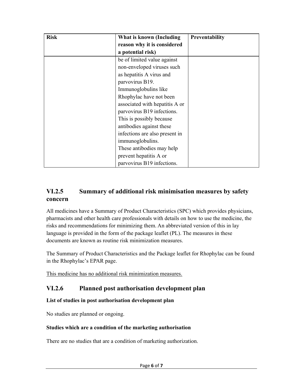| <b>Risk</b> | What is known (Including       | <b>Preventability</b> |
|-------------|--------------------------------|-----------------------|
|             | reason why it is considered    |                       |
|             | a potential risk)              |                       |
|             | be of limited value against    |                       |
|             | non-enveloped viruses such     |                       |
|             | as hepatitis A virus and       |                       |
|             | parvovirus B19.                |                       |
|             | Immunoglobulins like           |                       |
|             | Rhophylac have not been        |                       |
|             | associated with hepatitis A or |                       |
|             | parvovirus B19 infections.     |                       |
|             | This is possibly because       |                       |
|             | antibodies against these       |                       |
|             | infections are also present in |                       |
|             | immunoglobulins.               |                       |
|             | These antibodies may help      |                       |
|             | prevent hepatitis A or         |                       |
|             | parvovirus B19 infections.     |                       |

### **VI.2.5 Summary of additional risk minimisation measures by safety concern**

All medicines have a Summary of Product Characteristics (SPC) which provides physicians, pharmacists and other health care professionals with details on how to use the medicine, the risks and recommendations for minimizing them. An abbreviated version of this in lay language is provided in the form of the package leaflet (PL). The measures in these documents are known as routine risk minimization measures.

The Summary of Product Characteristics and the Package leaflet for Rhophylac can be found in the Rhophylac's EPAR page.

This medicine has no additional risk minimization measures.

# **VI.2.6 Planned post authorisation development plan**

#### **List of studies in post authorisation development plan**

No studies are planned or ongoing.

#### **Studies which are a condition of the marketing authorisation**

There are no studies that are a condition of marketing authorization.